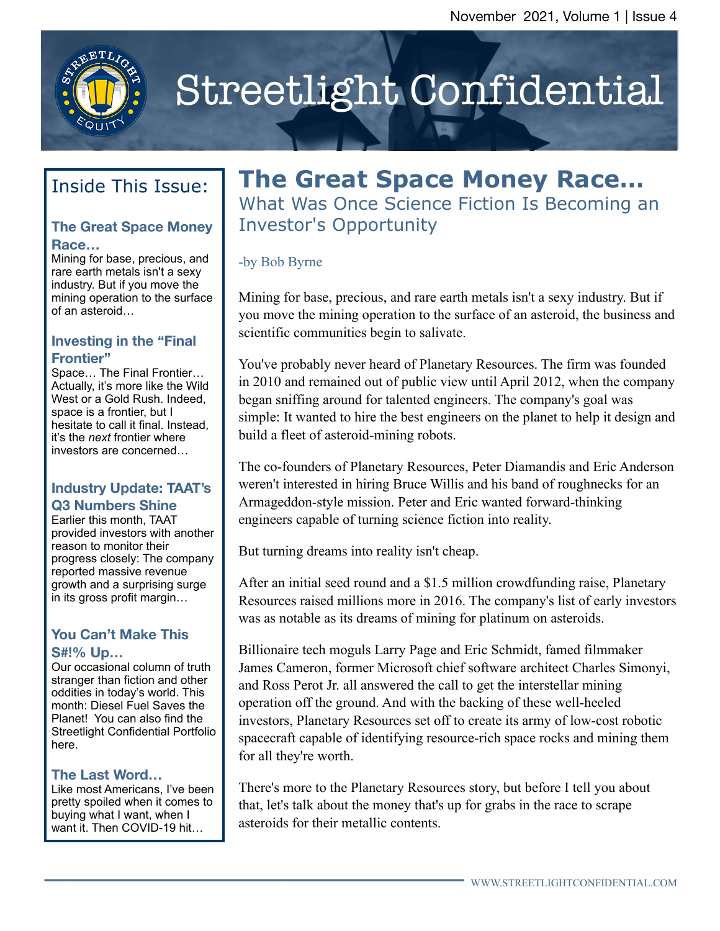

# Streetlight Confidential

# Inside This Issue:

#### **The Great Space Money Race…**

Mining for base, precious, and rare earth metals isn't a sexy industry. But if you move the mining operation to the surface of an asteroid…

#### **Investing in the "Final Frontier"**

Space… The Final Frontier… Actually, it's more like the Wild West or a Gold Rush. Indeed, space is a frontier, but I hesitate to call it final. Instead, it's the *next* frontier where investors are concerned…

#### **Industry Update: TAAT's Q3 Numbers Shine**

Earlier this month, TAAT provided investors with another reason to monitor their progress closely: The company reported massive revenue growth and a surprising surge in its gross profit margin…

#### **You Can't Make This S#!% Up…**

Our occasional column of truth stranger than fiction and other oddities in today's world. This month: Diesel Fuel Saves the Planet! You can also find the Streetlight Confidential Portfolio here.

#### **The Last Word…**

Like most Americans, I've been pretty spoiled when it comes to buying what I want, when I want it. Then COVID-19 hit…

# **The Great Space Money Race…** What Was Once Science Fiction Is Becoming an

Investor's Opportunity

#### -by Bob Byrne

Mining for base, precious, and rare earth metals isn't a sexy industry. But if you move the mining operation to the surface of an asteroid, the business and scientific communities begin to salivate.

You've probably never heard of Planetary Resources. The firm was founded in 2010 and remained out of public view until April 2012, when the company began sniffing around for talented engineers. The company's goal was simple: It wanted to hire the best engineers on the planet to help it design and build a fleet of asteroid-mining robots.

The co-founders of Planetary Resources, Peter Diamandis and Eric Anderson weren't interested in hiring Bruce Willis and his band of roughnecks for an Armageddon-style mission. Peter and Eric wanted forward-thinking engineers capable of turning science fiction into reality.

But turning dreams into reality isn't cheap.

After an initial seed round and a \$1.5 million crowdfunding raise, Planetary Resources raised millions more in 2016. The company's list of early investors was as notable as its dreams of mining for platinum on asteroids.

Billionaire tech moguls Larry Page and Eric Schmidt, famed filmmaker James Cameron, former Microsoft chief software architect Charles Simonyi, and Ross Perot Jr. all answered the call to get the interstellar mining operation off the ground. And with the backing of these well-heeled investors, Planetary Resources set off to create its army of low-cost robotic spacecraft capable of identifying resource-rich space rocks and mining them for all they're worth.

There's more to the Planetary Resources story, but before I tell you about that, let's talk about the money that's up for grabs in the race to scrape asteroids for their metallic contents.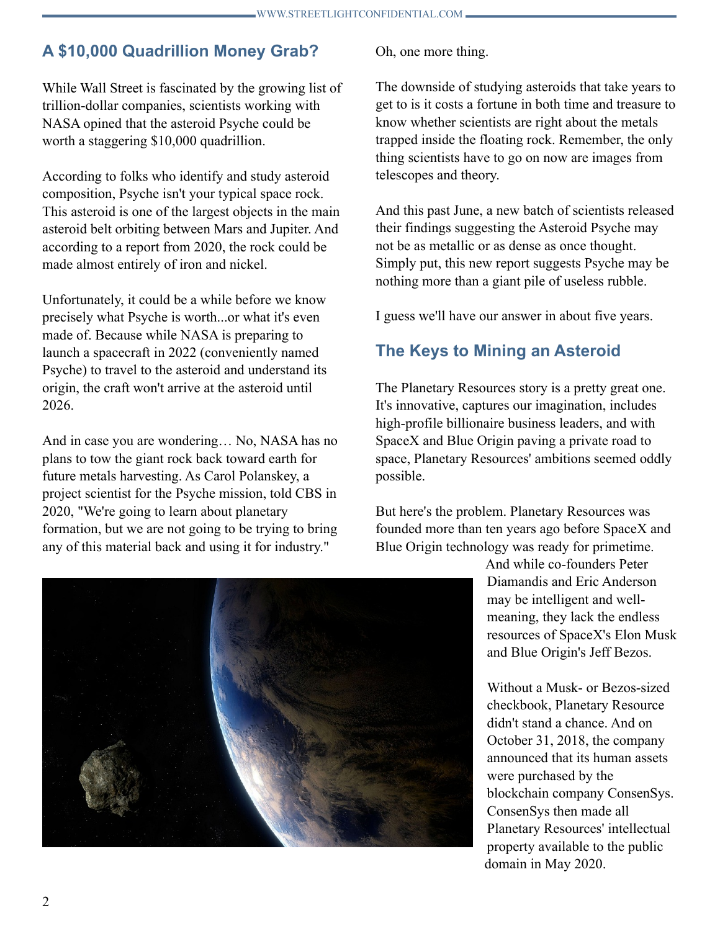## **A \$10,000 Quadrillion Money Grab?**

While Wall Street is fascinated by the growing list of trillion-dollar companies, scientists working with NASA opined that the asteroid Psyche could be worth a staggering \$10,000 quadrillion.

According to folks who identify and study asteroid composition, Psyche isn't your typical space rock. This asteroid is one of the largest objects in the main asteroid belt orbiting between Mars and Jupiter. And according to a report from 2020, the rock could be made almost entirely of iron and nickel.

Unfortunately, it could be a while before we know precisely what Psyche is worth...or what it's even made of. Because while NASA is preparing to launch a spacecraft in 2022 (conveniently named Psyche) to travel to the asteroid and understand its origin, the craft won't arrive at the asteroid until 2026.

And in case you are wondering… No, NASA has no plans to tow the giant rock back toward earth for future metals harvesting. As Carol Polanskey, a project scientist for the Psyche mission, told CBS in 2020, "We're going to learn about planetary formation, but we are not going to be trying to bring any of this material back and using it for industry."

Oh, one more thing.

The downside of studying asteroids that take years to get to is it costs a fortune in both time and treasure to know whether scientists are right about the metals trapped inside the floating rock. Remember, the only thing scientists have to go on now are images from telescopes and theory.

And this past June, a new batch of scientists released their findings suggesting the Asteroid Psyche may not be as metallic or as dense as once thought. Simply put, this new report suggests Psyche may be nothing more than a giant pile of useless rubble.

I guess we'll have our answer in about five years.

## **The Keys to Mining an Asteroid**

The Planetary Resources story is a pretty great one. It's innovative, captures our imagination, includes high-profile billionaire business leaders, and with SpaceX and Blue Origin paving a private road to space, Planetary Resources' ambitions seemed oddly possible.

But here's the problem. Planetary Resources was founded more than ten years ago before SpaceX and Blue Origin technology was ready for primetime.

> And while co-founders Peter Diamandis and Eric Anderson may be intelligent and wellmeaning, they lack the endless resources of SpaceX's Elon Musk and Blue Origin's Jeff Bezos.

Without a Musk- or Bezos-sized checkbook, Planetary Resource didn't stand a chance. And on October 31, 2018, the company announced that its human assets were purchased by the blockchain company ConsenSys. ConsenSys then made all Planetary Resources' intellectual property available to the public domain in May 2020.

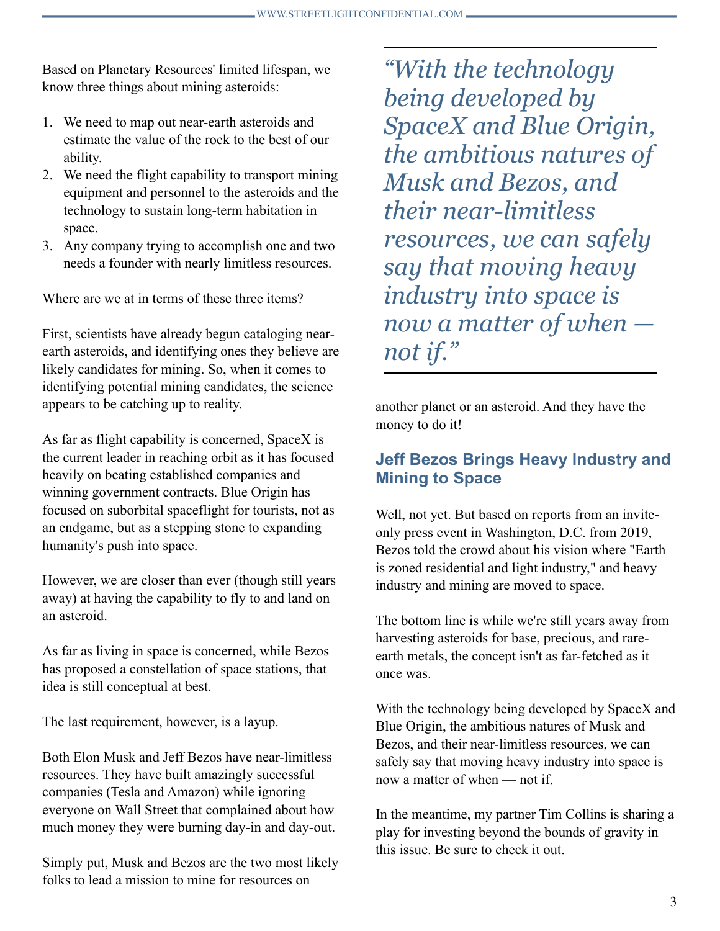Based on Planetary Resources' limited lifespan, we know three things about mining asteroids:

- 1. We need to map out near-earth asteroids and estimate the value of the rock to the best of our ability.
- 2. We need the flight capability to transport mining equipment and personnel to the asteroids and the technology to sustain long-term habitation in space.
- 3. Any company trying to accomplish one and two needs a founder with nearly limitless resources.

Where are we at in terms of these three items?

First, scientists have already begun cataloging nearearth asteroids, and identifying ones they believe are likely candidates for mining. So, when it comes to identifying potential mining candidates, the science appears to be catching up to reality.

As far as flight capability is concerned, SpaceX is the current leader in reaching orbit as it has focused heavily on beating established companies and winning government contracts. Blue Origin has focused on suborbital spaceflight for tourists, not as an endgame, but as a stepping stone to expanding humanity's push into space.

However, we are closer than ever (though still years away) at having the capability to fly to and land on an asteroid.

As far as living in space is concerned, while Bezos has proposed a constellation of space stations, that idea is still conceptual at best.

The last requirement, however, is a layup.

Both Elon Musk and Jeff Bezos have near-limitless resources. They have built amazingly successful companies (Tesla and Amazon) while ignoring everyone on Wall Street that complained about how much money they were burning day-in and day-out.

Simply put, Musk and Bezos are the two most likely folks to lead a mission to mine for resources on

*"With the technology being developed by SpaceX and Blue Origin, the ambitious natures of Musk and Bezos, and their near-limitless resources, we can safely say that moving heavy industry into space is now a matter of when not if."*

another planet or an asteroid. And they have the money to do it!

## **Jeff Bezos Brings Heavy Industry and Mining to Space**

Well, not yet. But based on reports from an inviteonly press event in Washington, D.C. from 2019, Bezos told the crowd about his vision where "Earth is zoned residential and light industry," and heavy industry and mining are moved to space.

The bottom line is while we're still years away from harvesting asteroids for base, precious, and rareearth metals, the concept isn't as far-fetched as it once was.

With the technology being developed by SpaceX and Blue Origin, the ambitious natures of Musk and Bezos, and their near-limitless resources, we can safely say that moving heavy industry into space is now a matter of when — not if

In the meantime, my partner Tim Collins is sharing a play for investing beyond the bounds of gravity in this issue. Be sure to check it out.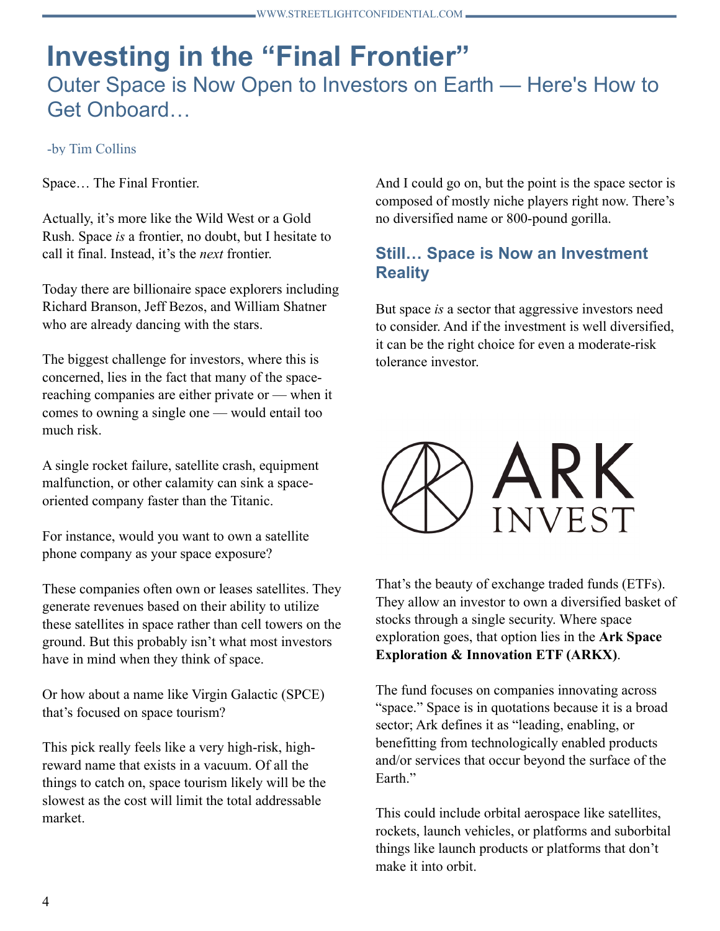# **Investing in the "Final Frontier"** Outer Space is Now Open to Investors on Earth — Here's How to Get Onboard…

#### -by Tim Collins

Space… The Final Frontier.

Actually, it's more like the Wild West or a Gold Rush. Space *is* a frontier, no doubt, but I hesitate to call it final. Instead, it's the *next* frontier.

Today there are billionaire space explorers including Richard Branson, Jeff Bezos, and William Shatner who are already dancing with the stars.

The biggest challenge for investors, where this is concerned, lies in the fact that many of the spacereaching companies are either private or — when it comes to owning a single one — would entail too much risk.

A single rocket failure, satellite crash, equipment malfunction, or other calamity can sink a spaceoriented company faster than the Titanic.

For instance, would you want to own a satellite phone company as your space exposure?

These companies often own or leases satellites. They generate revenues based on their ability to utilize these satellites in space rather than cell towers on the ground. But this probably isn't what most investors have in mind when they think of space.

Or how about a name like Virgin Galactic (SPCE) that's focused on space tourism?

This pick really feels like a very high-risk, highreward name that exists in a vacuum. Of all the things to catch on, space tourism likely will be the slowest as the cost will limit the total addressable market.

And I could go on, but the point is the space sector is composed of mostly niche players right now. There's no diversified name or 800-pound gorilla.

### **Still… Space is Now an Investment Reality**

But space *is* a sector that aggressive investors need to consider. And if the investment is well diversified, it can be the right choice for even a moderate-risk tolerance investor.



That's the beauty of exchange traded funds (ETFs). They allow an investor to own a diversified basket of stocks through a single security. Where space exploration goes, that option lies in the **Ark Space Exploration & Innovation ETF (ARKX)**.

The fund focuses on companies innovating across "space." Space is in quotations because it is a broad sector; Ark defines it as "leading, enabling, or benefitting from technologically enabled products and/or services that occur beyond the surface of the Earth<sup>"</sup>

This could include orbital aerospace like satellites, rockets, launch vehicles, or platforms and suborbital things like launch products or platforms that don't make it into orbit.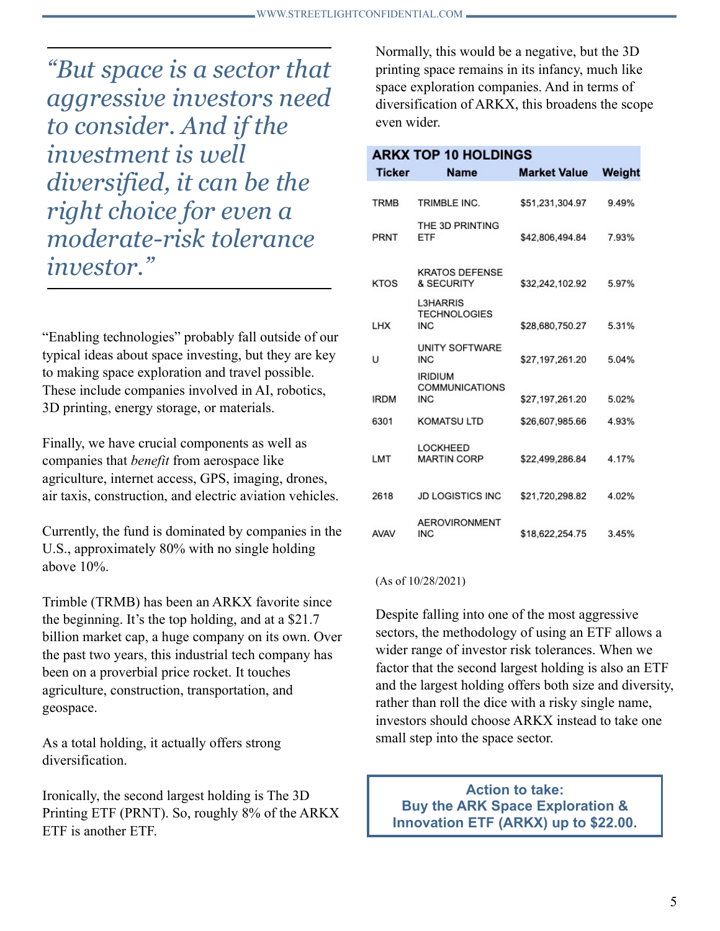*"But space is a sector that aggressive investors need to consider. And if the investment is well diversified, it can be the right choice for even a moderate-risk tolerance investor."*

"Enabling technologies" probably fall outside of our typical ideas about space investing, but they are key to making space exploration and travel possible. These include companies involved in AI, robotics, 3D printing, energy storage, or materials.

Finally, we have crucial components as well as companies that *benefit* from aerospace like agriculture, internet access, GPS, imaging, drones, air taxis, construction, and electric aviation vehicles.

Currently, the fund is dominated by companies in the U.S., approximately 80% with no single holding above 10%.

Trimble (TRMB) has been an ARKX favorite since the beginning. It's the top holding, and at a \$21.7 billion market cap, a huge company on its own. Over the past two years, this industrial tech company has been on a proverbial price rocket. It touches agriculture, construction, transportation, and geospace.

As a total holding, it actually offers strong diversification.

Ironically, the second largest holding is The 3D Printing ETF (PRNT). So, roughly 8% of the ARKX ETF is another ETF.

Normally, this would be a negative, but the 3D printing space remains in its infancy, much like space exploration companies. And in terms of diversification of ARKX, this broadens the scope even wider.

|  |  |  | ARKX TOP 10 HOLDINGS |  |  |
|--|--|--|----------------------|--|--|
|  |  |  |                      |  |  |

| Ticker      | Name                                                  | <b>Market Value</b> | Weight |
|-------------|-------------------------------------------------------|---------------------|--------|
| <b>TRMB</b> | TRIMBLE INC.                                          | \$51,231,304.97     | 9.49%  |
| PRNT        | THE 3D PRINTING<br>ETF                                | \$42,806,494.84     | 7.93%  |
| KTOS        | <b>KRATOS DEFENSE</b><br>& SECURITY                   | \$32,242,102.92     | 5.97%  |
| LHX         | <b>L3HARRIS</b><br><b>TECHNOLOGIES</b><br><b>INC</b>  | \$28,680,750.27     | 5.31%  |
| U           | <b>UNITY SOFTWARE</b><br><b>INC</b>                   | \$27,197,261.20     | 5.04%  |
| <b>IRDM</b> | <b>IRIDIUM</b><br><b>COMMUNICATIONS</b><br><b>INC</b> | \$27,197,261.20     | 5.02%  |
| 6301        | <b>KOMATSU LTD</b>                                    | \$26,607,985.66     | 4.93%  |
| LMT         | LOCKHEED<br><b>MARTIN CORP</b>                        | \$22.499.286.84     | 4.17%  |
| 2618        | <b>JD LOGISTICS INC</b>                               | \$21,720,298.82     | 4.02%  |
| <b>AVAV</b> | <b>AEROVIRONMENT</b><br><b>INC</b>                    | \$18,622,254.75     | 3.45%  |

#### (As of 10/28/2021)

Despite falling into one of the most aggressive sectors, the methodology of using an ETF allows a wider range of investor risk tolerances. When we factor that the second largest holding is also an ETF and the largest holding offers both size and diversity, rather than roll the dice with a risky single name, investors should choose ARKX instead to take one small step into the space sector.

#### **Action to take: Buy the ARK Space Exploration & Innovation ETF (ARKX) up to \$22.00.**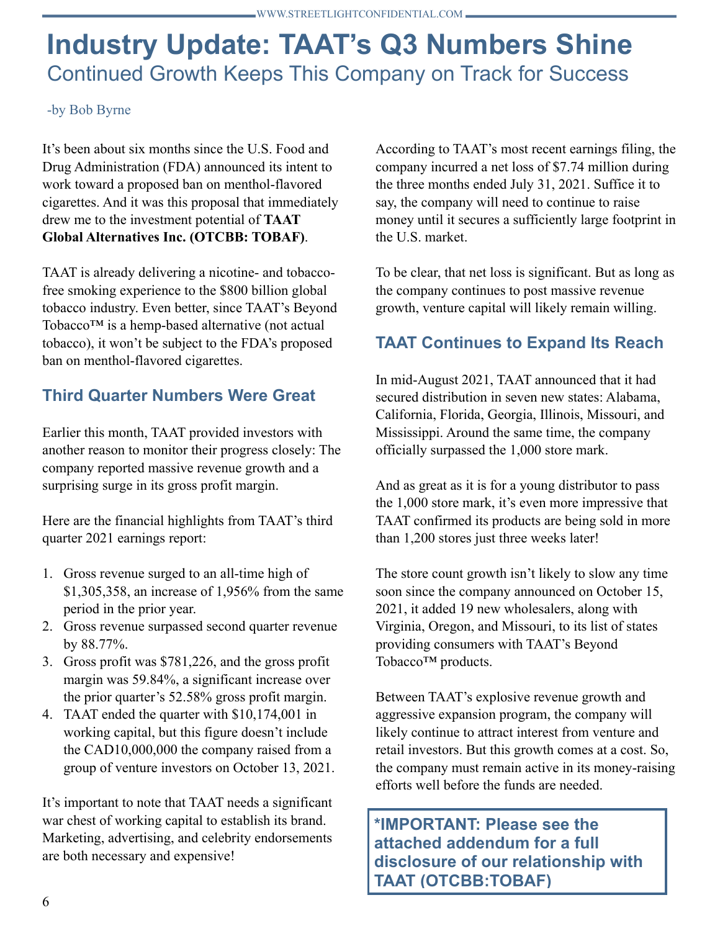# **Industry Update: TAAT's Q3 Numbers Shine** Continued Growth Keeps This Company on Track for Success

#### -by Bob Byrne

It's been about six months since the U.S. Food and Drug Administration (FDA) announced its intent to work toward a proposed ban on menthol-flavored cigarettes. And it was this proposal that immediately drew me to the investment potential of **TAAT Global Alternatives Inc. (OTCBB: TOBAF)**.

TAAT is already delivering a nicotine- and tobaccofree smoking experience to the \$800 billion global tobacco industry. Even better, since TAAT's Beyond Tobacco™ is a hemp-based alternative (not actual tobacco), it won't be subject to the FDA's proposed ban on menthol-flavored cigarettes.

## **Third Quarter Numbers Were Great**

Earlier this month, TAAT provided investors with another reason to monitor their progress closely: The company reported massive revenue growth and a surprising surge in its gross profit margin.

Here are the financial highlights from TAAT's third quarter 2021 earnings report:

- 1. Gross revenue surged to an all-time high of \$1,305,358, an increase of 1,956% from the same period in the prior year.
- 2. Gross revenue surpassed second quarter revenue by 88.77%.
- 3. Gross profit was \$781,226, and the gross profit margin was 59.84%, a significant increase over the prior quarter's 52.58% gross profit margin.
- 4. TAAT ended the quarter with \$10,174,001 in working capital, but this figure doesn't include the CAD10,000,000 the company raised from a group of venture investors on October 13, 2021.

It's important to note that TAAT needs a significant war chest of working capital to establish its brand. Marketing, advertising, and celebrity endorsements are both necessary and expensive!

According to TAAT's most recent earnings filing, the company incurred a net loss of \$7.74 million during the three months ended July 31, 2021. Suffice it to say, the company will need to continue to raise money until it secures a sufficiently large footprint in the U.S. market.

To be clear, that net loss is significant. But as long as the company continues to post massive revenue growth, venture capital will likely remain willing.

## **TAAT Continues to Expand Its Reach**

In mid-August 2021, TAAT announced that it had secured distribution in seven new states: Alabama, California, Florida, Georgia, Illinois, Missouri, and Mississippi. Around the same time, the company officially surpassed the 1,000 store mark.

And as great as it is for a young distributor to pass the 1,000 store mark, it's even more impressive that TAAT confirmed its products are being sold in more than 1,200 stores just three weeks later!

The store count growth isn't likely to slow any time soon since the company announced on October 15, 2021, it added 19 new wholesalers, along with Virginia, Oregon, and Missouri, to its list of states providing consumers with TAAT's Beyond Tobacco<sup>™</sup> products.

Between TAAT's explosive revenue growth and aggressive expansion program, the company will likely continue to attract interest from venture and retail investors. But this growth comes at a cost. So, the company must remain active in its money-raising efforts well before the funds are needed.

**\*IMPORTANT: Please see the attached addendum for a full disclosure of our relationship with TAAT (OTCBB:TOBAF)**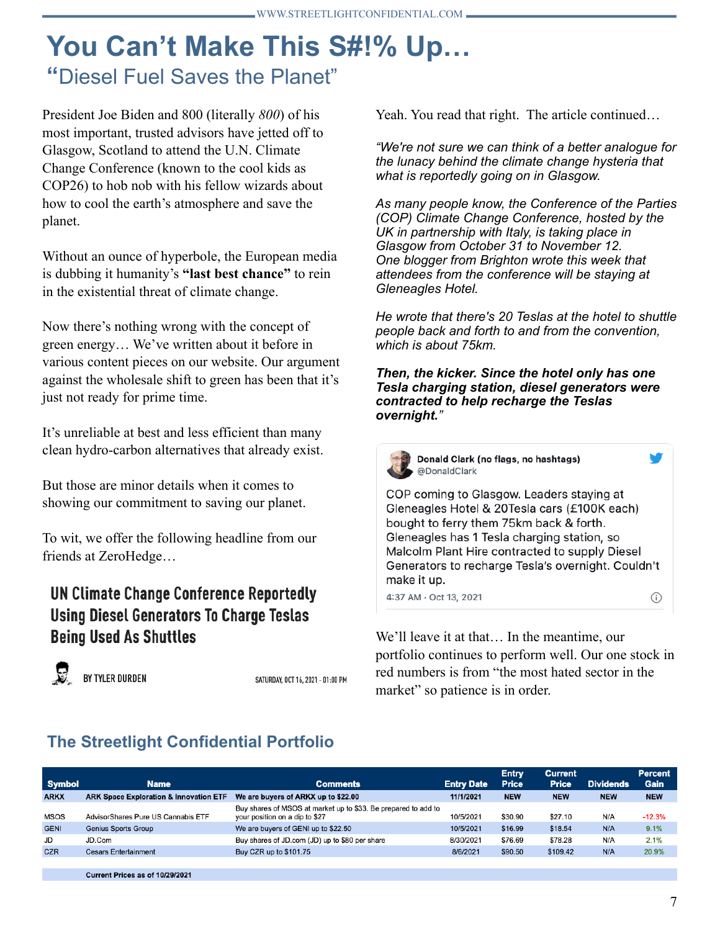# **You Can't Make This S#!% Up… "**Diesel Fuel Saves the Planet"

President Joe Biden and 800 (literally *800*) of his most important, trusted advisors have jetted off to Glasgow, Scotland to attend the U.N. Climate Change Conference (known to the cool kids as COP26) to hob nob with his fellow wizards about how to cool the earth's atmosphere and save the planet.

Without an ounce of hyperbole, the European media is dubbing it humanity's **"last best chance"** to rein in the existential threat of climate change.

Now there's nothing wrong with the concept of green energy… We've written about it before in various content pieces on our website. Our argument against the wholesale shift to green has been that it's just not ready for prime time.

It's unreliable at best and less efficient than many clean hydro-carbon alternatives that already exist.

But those are minor details when it comes to showing our commitment to saving our planet.

To wit, we offer the following headline from our friends at ZeroHedge…

## **UN Climate Change Conference Reportedly Using Diesel Generators To Charge Teslas Being Used As Shuttles**



SATURDAY, OCT 16, 2021 - 01:00 PM

Yeah. You read that right. The article continued…

*"We're not sure we can think of a better analogue for the lunacy behind the climate change hysteria that what is reportedly going on in Glasgow.* 

*As many people know, the Conference of the Parties (COP) Climate Change Conference, hosted by the UK in partnership with Italy, is taking place in Glasgow from October 31 to November 12. One blogger from Brighton wrote this week that attendees from the conference will be staying at Gleneagles Hotel.*

*He wrote that there's 20 Teslas at the hotel to shuttle people back and forth to and from the convention, which is about 75km.* 

*Then, the kicker. Since the hotel only has one Tesla charging station, diesel generators were contracted to help recharge the Teslas overnight."*



4:37 AM · Oct 13, 2021

We'll leave it at that… In the meantime, our portfolio continues to perform well. Our one stock in red numbers is from "the most hated sector in the market" so patience is in order.

# **The Streetlight Confidential Portfolio**

| <b>Symbol</b> | <b>Name</b>                                       | <b>Comments</b>                                                                                  | <b>Entry Date</b> | <b>Entry</b><br><b>Price</b> | <b>Current</b><br><b>Price</b> | <b>Dividends</b> | <b>Percent</b><br>Gain |
|---------------|---------------------------------------------------|--------------------------------------------------------------------------------------------------|-------------------|------------------------------|--------------------------------|------------------|------------------------|
| <b>ARKX</b>   | <b>ARK Space Exploration &amp; Innovation ETF</b> | We are buyers of ARKX up to \$22.00                                                              | 11/1/2021         | <b>NEW</b>                   | <b>NEW</b>                     | <b>NEW</b>       | <b>NEW</b>             |
| <b>MSOS</b>   | AdvisorShares Pure US Cannabis ETF                | Buy shares of MSOS at market up to \$33. Be prepared to add to<br>your position on a dip to \$27 | 10/5/2021         | \$30.90                      | \$27.10                        | N/A              | $-12.3%$               |
| <b>GENI</b>   | <b>Genius Sports Group</b>                        | We are buyers of GENI up to \$22.50                                                              | 10/5/2021         | \$16.99                      | \$18.54                        | N/A              | 9.1%                   |
| JD            | JD.Com                                            | Buy shares of JD.com (JD) up to \$80 per share                                                   | 8/30/2021         | \$76.69                      | \$78.28                        | N/A              | 2.1%                   |
| <b>CZR</b>    | <b>Cesars Entertainment</b>                       | Buy CZR up to \$101.75                                                                           | 8/6/2021          | \$90.50                      | \$109.42                       | N/A              | 20.9%                  |
|               |                                                   |                                                                                                  |                   |                              |                                |                  |                        |
|               | Current Prices as of 10/29/2021                   |                                                                                                  |                   |                              |                                |                  |                        |

 $\odot$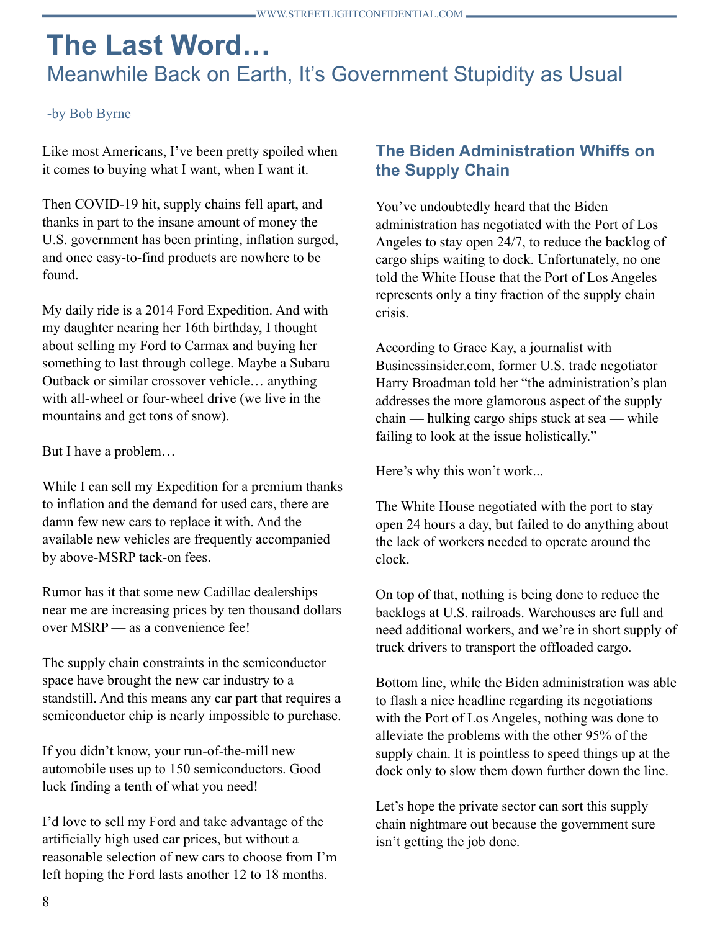# **The Last Word…** Meanwhile Back on Earth, It's Government Stupidity as Usual

#### -by Bob Byrne

Like most Americans, I've been pretty spoiled when it comes to buying what I want, when I want it.

Then COVID-19 hit, supply chains fell apart, and thanks in part to the insane amount of money the U.S. government has been printing, inflation surged, and once easy-to-find products are nowhere to be found.

My daily ride is a 2014 Ford Expedition. And with my daughter nearing her 16th birthday, I thought about selling my Ford to Carmax and buying her something to last through college. Maybe a Subaru Outback or similar crossover vehicle… anything with all-wheel or four-wheel drive (we live in the mountains and get tons of snow).

But I have a problem…

While I can sell my Expedition for a premium thanks to inflation and the demand for used cars, there are damn few new cars to replace it with. And the available new vehicles are frequently accompanied by above-MSRP tack-on fees.

Rumor has it that some new Cadillac dealerships near me are increasing prices by ten thousand dollars over MSRP — as a convenience fee!

The supply chain constraints in the semiconductor space have brought the new car industry to a standstill. And this means any car part that requires a semiconductor chip is nearly impossible to purchase.

If you didn't know, your run-of-the-mill new automobile uses up to 150 semiconductors. Good luck finding a tenth of what you need!

I'd love to sell my Ford and take advantage of the artificially high used car prices, but without a reasonable selection of new cars to choose from I'm left hoping the Ford lasts another 12 to 18 months.

## **The Biden Administration Whiffs on the Supply Chain**

You've undoubtedly heard that the Biden administration has negotiated with the Port of Los Angeles to stay open 24/7, to reduce the backlog of cargo ships waiting to dock. Unfortunately, no one told the White House that the Port of Los Angeles represents only a tiny fraction of the supply chain crisis.

According to Grace Kay, a journalist with Businessinsider.com, former U.S. trade negotiator Harry Broadman told her "the administration's plan addresses the more glamorous aspect of the supply chain — hulking cargo ships stuck at sea — while failing to look at the issue holistically."

Here's why this won't work...

The White House negotiated with the port to stay open 24 hours a day, but failed to do anything about the lack of workers needed to operate around the clock.

On top of that, nothing is being done to reduce the backlogs at U.S. railroads. Warehouses are full and need additional workers, and we're in short supply of truck drivers to transport the offloaded cargo.

Bottom line, while the Biden administration was able to flash a nice headline regarding its negotiations with the Port of Los Angeles, nothing was done to alleviate the problems with the other 95% of the supply chain. It is pointless to speed things up at the dock only to slow them down further down the line.

Let's hope the private sector can sort this supply chain nightmare out because the government sure isn't getting the job done.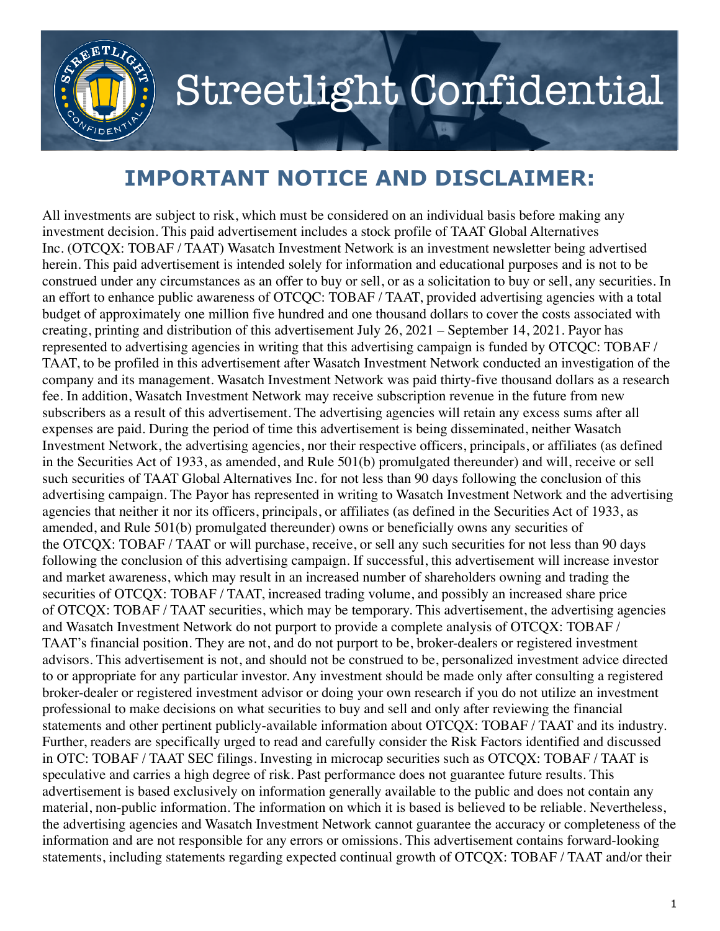

# Streetlight Confidential

# **IMPORTANT NOTICE AND DISCLAIMER:**

All investments are subject to risk, which must be considered on an individual basis before making any investment decision. This paid advertisement includes a stock profile of TAAT Global Alternatives Inc. (OTCQX: TOBAF / TAAT) Wasatch Investment Network is an investment newsletter being advertised herein. This paid advertisement is intended solely for information and educational purposes and is not to be construed under any circumstances as an offer to buy or sell, or as a solicitation to buy or sell, any securities. In an effort to enhance public awareness of OTCQC: TOBAF / TAAT, provided advertising agencies with a total budget of approximately one million five hundred and one thousand dollars to cover the costs associated with creating, printing and distribution of this advertisement July 26, 2021 – September 14, 2021. Payor has represented to advertising agencies in writing that this advertising campaign is funded by OTCQC: TOBAF / TAAT, to be profiled in this advertisement after Wasatch Investment Network conducted an investigation of the company and its management. Wasatch Investment Network was paid thirty-five thousand dollars as a research fee. In addition, Wasatch Investment Network may receive subscription revenue in the future from new subscribers as a result of this advertisement. The advertising agencies will retain any excess sums after all expenses are paid. During the period of time this advertisement is being disseminated, neither Wasatch Investment Network, the advertising agencies, nor their respective officers, principals, or affiliates (as defined in the Securities Act of 1933, as amended, and Rule 501(b) promulgated thereunder) and will, receive or sell such securities of TAAT Global Alternatives Inc. for not less than 90 days following the conclusion of this advertising campaign. The Payor has represented in writing to Wasatch Investment Network and the advertising agencies that neither it nor its officers, principals, or affiliates (as defined in the Securities Act of 1933, as amended, and Rule 501(b) promulgated thereunder) owns or beneficially owns any securities of the OTCQX: TOBAF / TAAT or will purchase, receive, or sell any such securities for not less than 90 days following the conclusion of this advertising campaign. If successful, this advertisement will increase investor and market awareness, which may result in an increased number of shareholders owning and trading the securities of OTCQX: TOBAF / TAAT, increased trading volume, and possibly an increased share price of OTCQX: TOBAF / TAAT securities, which may be temporary. This advertisement, the advertising agencies and Wasatch Investment Network do not purport to provide a complete analysis of OTCQX: TOBAF / TAAT's financial position. They are not, and do not purport to be, broker-dealers or registered investment advisors. This advertisement is not, and should not be construed to be, personalized investment advice directed to or appropriate for any particular investor. Any investment should be made only after consulting a registered broker-dealer or registered investment advisor or doing your own research if you do not utilize an investment professional to make decisions on what securities to buy and sell and only after reviewing the financial statements and other pertinent publicly-available information about OTCQX: TOBAF / TAAT and its industry. Further, readers are specifically urged to read and carefully consider the Risk Factors identified and discussed in OTC: TOBAF / TAAT SEC filings. Investing in microcap securities such as OTCQX: TOBAF / TAAT is speculative and carries a high degree of risk. Past performance does not guarantee future results. This advertisement is based exclusively on information generally available to the public and does not contain any material, non-public information. The information on which it is based is believed to be reliable. Nevertheless, the advertising agencies and Wasatch Investment Network cannot guarantee the accuracy or completeness of the information and are not responsible for any errors or omissions. This advertisement contains forward-looking statements, including statements regarding expected continual growth of OTCQX: TOBAF / TAAT and/or their